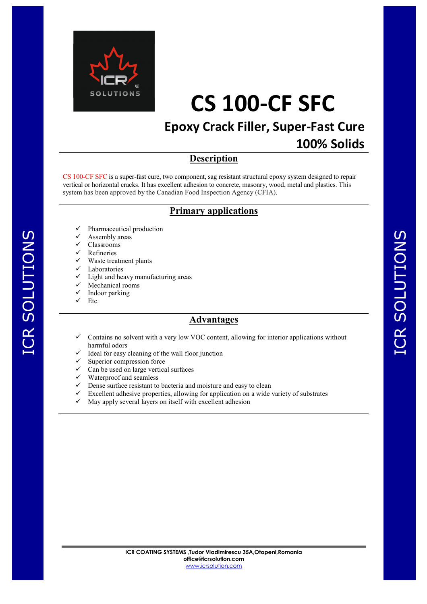

## **Epoxy Crack Filler, Super-Fast Cure**

### **100% Solids**

#### **Description**

CS 100-CF SFC is a super-fast cure, two component, sag resistant structural epoxy system designed to repair vertical or horizontal cracks. It has excellent adhesion to concrete, masonry, wood, metal and plastics. This system has been approved by the Canadian Food Inspection Agency (CFIA).

#### **Primary applications**

- Pharmaceutical production
- Assembly areas
- Classrooms
- Refineries
- $\checkmark$  Waste treatment plants
- Laboratories
- $\checkmark$  Light and heavy manufacturing areas
- $\checkmark$  Mechanical rooms
- Indoor parking
- Etc.

#### **Advantages**

- Contains no solvent with a very low VOC content, allowing for interior applications without harmful odors
- $\checkmark$  Ideal for easy cleaning of the wall floor junction
- $\checkmark$  Superior compression force
- $\checkmark$  Can be used on large vertical surfaces
- Waterproof and seamless
- $\checkmark$  Dense surface resistant to bacteria and moisture and easy to clean
- $\checkmark$  Excellent adhesive properties, allowing for application on a wide variety of substrates
- May apply several layers on itself with excellent adhesion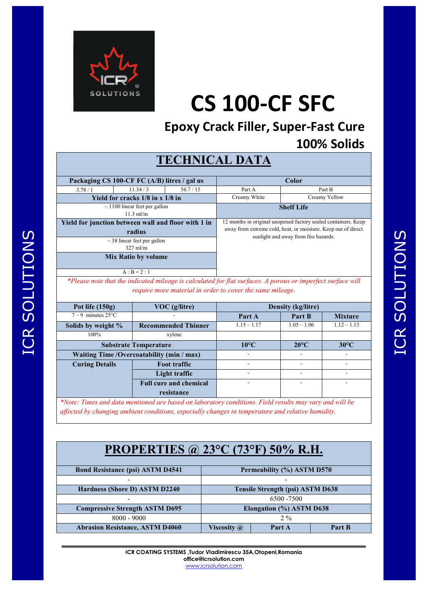

**Epoxy Crack Filler, Super-Fast Cure 100% Solids** 

## **TECHNICAL DATA**

| Packaging CS 100-CF FC (A/B) litres / gal us        |         |                                                                | <b>Color</b>                                                                                          |        |  |
|-----------------------------------------------------|---------|----------------------------------------------------------------|-------------------------------------------------------------------------------------------------------|--------|--|
| 3.78/1                                              | 11.34/3 | 56.7/15                                                        | Part A                                                                                                | Part B |  |
| Yield for cracks 1/8 in x 1/8 in                    |         | Creamy White                                                   | Creamy Yellow                                                                                         |        |  |
| $\sim$ 1100 linear feet per gallon<br>$11.3$ ml/m   |         |                                                                | <b>Shelf Life</b>                                                                                     |        |  |
| Yield for junction between wall and floor with 1 in |         | 12 months in original unopened factory sealed containers. Keep |                                                                                                       |        |  |
| radius                                              |         |                                                                | away from extreme cold, heat, or moisture. Keep out of direct<br>sunlight and away from fire hazards. |        |  |
| $\sim$ 38 linear feet per gallon                    |         |                                                                |                                                                                                       |        |  |
| $327 \text{ ml/m}$                                  |         |                                                                |                                                                                                       |        |  |
| <b>Mix Ratio by volume</b>                          |         |                                                                |                                                                                                       |        |  |
| $A : B = 2 : 1$                                     |         |                                                                |                                                                                                       |        |  |

*\*Please note that the indicated mileage is calculated for flat surfaces. A porous or imperfect surface will require more material in order to cover the same mileage.* 

| Pot life $(150g)$                          | VOC (g/litre)                 | <b>Density (kg/litre)</b> |                |                |
|--------------------------------------------|-------------------------------|---------------------------|----------------|----------------|
| $7-9$ minutes $25^{\circ}$ C               |                               | Part A                    | Part B         | <b>Mixture</b> |
| Solids by weight %                         | <b>Recommended Thinner</b>    | $1.15 - 1.17$             | $1.05 - 1.06$  | $1.12 - 1.13$  |
| 100%                                       | xylene                        |                           |                |                |
| <b>Substrate Temperature</b>               |                               | $10^{\circ}$ C            | $20^{\circ}$ C | $30^{\circ}$ C |
| Waiting Time / Overcoatability (min / max) |                               |                           |                |                |
| <b>Curing Details</b>                      | <b>Foot traffic</b>           |                           |                |                |
|                                            | Light traffic                 |                           |                |                |
|                                            | <b>Full cure and chemical</b> |                           |                |                |
|                                            | resistance                    |                           |                |                |

*\*Note: Times and data mentioned are based on laboratory conditions. Field results may vary and will be affected by changing ambient conditions, especially changes in temperature and relative humidity.* 

# **PROPERTIES @ 23°C (73°F) 50% R.H.**

| <b>Bond Resistance (psi) ASTM D4541</b> | Permeability (%) ASTM D570              |        |        |
|-----------------------------------------|-----------------------------------------|--------|--------|
|                                         |                                         |        |        |
| Hardness (Shore D) ASTM D2240           | <b>Tensile Strength (psi) ASTM D638</b> |        |        |
|                                         | 6500 - 7500                             |        |        |
| <b>Compressive Strength ASTM D695</b>   | Elongation (%) ASTM D638                |        |        |
| $8000 - 9000$                           | $2\%$                                   |        |        |
| <b>Abrasion Resistance, ASTM D4060</b>  | <b>Viscosity</b> <i>(a)</i>             | Part A | Part B |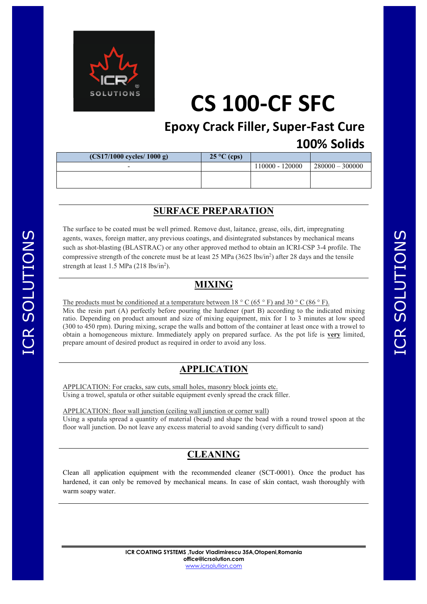

**Epoxy Crack Filler, Super-Fast Cure 100% Solids** 

| $(CS17/1000$ cycles/ 1000 g) | $25^{\circ}$ C (cps) |                 |                   |
|------------------------------|----------------------|-----------------|-------------------|
| $\overline{\phantom{a}}$     |                      | 110000 - 120000 | $280000 - 300000$ |
|                              |                      |                 |                   |
|                              |                      |                 |                   |

#### **SURFACE PREPARATION**

The surface to be coated must be well primed. Remove dust, laitance, grease, oils, dirt, impregnating agents, waxes, foreign matter, any previous coatings, and disintegrated substances by mechanical means such as shot-blasting (BLASTRAC) or any other approved method to obtain an ICRI-CSP 3-4 profile. The compressive strength of the concrete must be at least 25 MPa  $(3625 \text{ lbs/in}^2)$  after 28 days and the tensile strength at least  $1.5$  MPa  $(218 \text{ lbs/in}^2)$ .

#### **MIXING**

The products must be conditioned at a temperature between  $18 \degree$  C (65  $\degree$  F) and 30  $\degree$  C (86  $\degree$  F). Mix the resin part (A) perfectly before pouring the hardener (part B) according to the indicated mixing ratio. Depending on product amount and size of mixing equipment, mix for 1 to 3 minutes at low speed (300 to 450 rpm). During mixing, scrape the walls and bottom of the container at least once with a trowel to obtain a homogeneous mixture. Immediately apply on prepared surface. As the pot life is **very** limited, prepare amount of desired product as required in order to avoid any loss.

#### **APPLICATION**

APPLICATION: For cracks, saw cuts, small holes, masonry block joints etc. Using a trowel, spatula or other suitable equipment evenly spread the crack filler.

APPLICATION: floor wall junction (ceiling wall junction or corner wall) Using a spatula spread a quantity of material (bead) and shape the bead with a round trowel spoon at the floor wall junction. Do not leave any excess material to avoid sanding (very difficult to sand)

### **CLEANING**

Clean all application equipment with the recommended cleaner (SCT-0001). Once the product has hardened, it can only be removed by mechanical means. In case of skin contact, wash thoroughly with warm soapy water.